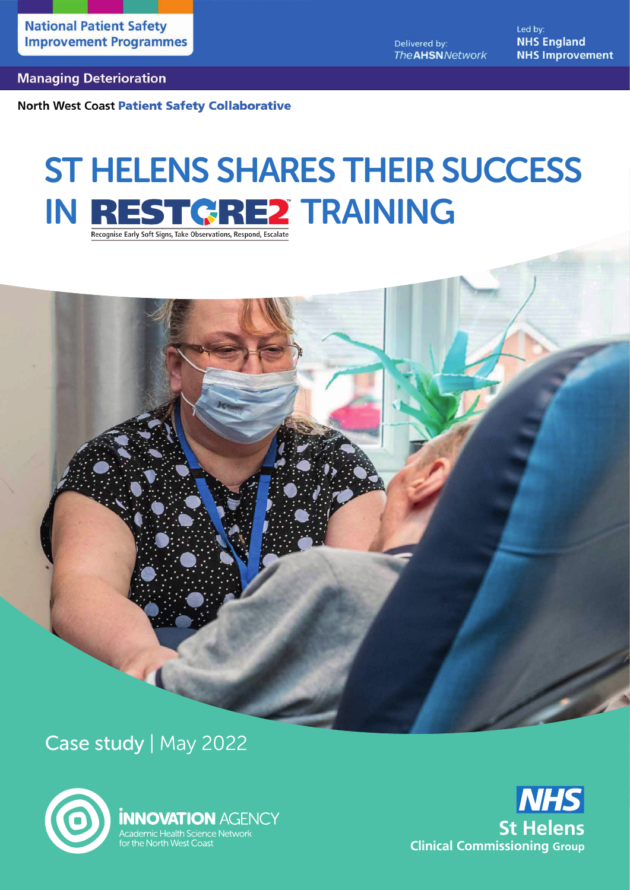Delivered by: **The AHSN** Network Led by: **NHS England NHS Improvement** 

#### **Managing Deterioration**

**North West Coast Patient Safety Collaborative** 

# ST HELENS SHARES THEIR SUCCESS IN REST GREZ TRAINING

Case study | May 2022



**INNOVATION AGENCY** Academic Health Science Network for the North West Coast

**NHS St Helens Clinical Commissioning Group**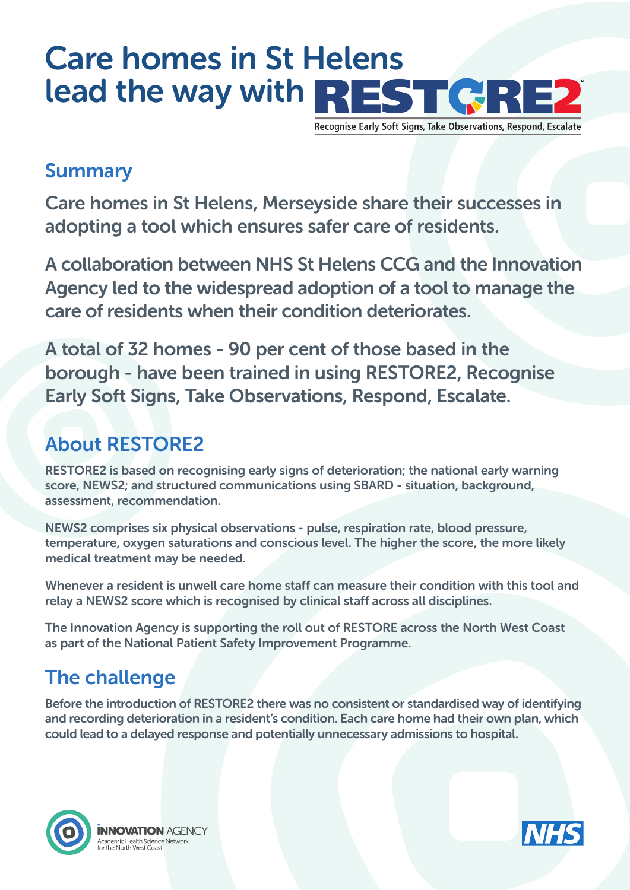# Care homes in St Helens lead the way with REST GRE2

Recognise Early Soft Signs, Take Observations, Respond, Escalate

#### Summary

Care homes in St Helens, Merseyside share their successes in adopting a tool which ensures safer care of residents.

A collaboration between NHS St Helens CCG and the Innovation Agency led to the widespread adoption of a tool to manage the care of residents when their condition deteriorates.

A total of 32 homes - 90 per cent of those based in the borough - have been trained in using RESTORE2, Recognise Early Soft Signs, Take Observations, Respond, Escalate.

# About RESTORE2

RESTORE2 is based on recognising early signs of deterioration; the national early warning score, NEWS2; and structured communications using SBARD - situation, background, assessment, recommendation.

NEWS2 comprises six physical observations - pulse, respiration rate, blood pressure, temperature, oxygen saturations and conscious level. The higher the score, the more likely medical treatment may be needed.

Whenever a resident is unwell care home staff can measure their condition with this tool and relay a NEWS2 score which is recognised by clinical staff across all disciplines.

The Innovation Agency is supporting the roll out of RESTORE across the North West Coast as part of the National Patient Safety Improvement Programme.

# The challenge

Before the introduction of RESTORE2 there was no consistent or standardised way of identifying and recording deterioration in a resident's condition. Each care home had their own plan, which could lead to a delayed response and potentially unnecessary admissions to hospital.



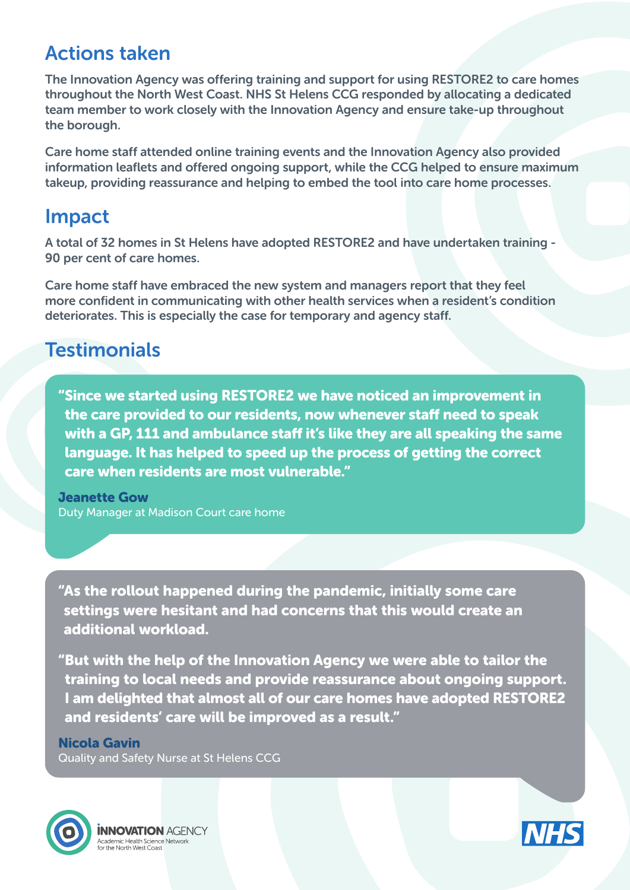## Actions taken

The Innovation Agency was offering training and support for using RESTORE2 to care homes throughout the North West Coast. NHS St Helens CCG responded by allocating a dedicated team member to work closely with the Innovation Agency and ensure take-up throughout the borough.

Care home staff attended online training events and the Innovation Agency also provided information leaflets and offered ongoing support, while the CCG helped to ensure maximum takeup, providing reassurance and helping to embed the tool into care home processes.

#### Impact

A total of 32 homes in St Helens have adopted RESTORE2 and have undertaken training - 90 per cent of care homes.

Care home staff have embraced the new system and managers report that they feel more confident in communicating with other health services when a resident's condition deteriorates. This is especially the case for temporary and agency staff.

### **Testimonials**

"Since we started using RESTORE2 we have noticed an improvement in the care provided to our residents, now whenever staff need to speak with a GP, 111 and ambulance staff it's like they are all speaking the same language. It has helped to speed up the process of getting the correct care when residents are most vulnerable."

Jeanette Gow Duty Manager at Madison Court care home

"As the rollout happened during the pandemic, initially some care settings were hesitant and had concerns that this would create an additional workload.

"But with the help of the Innovation Agency we were able to tailor the training to local needs and provide reassurance about ongoing support. I am delighted that almost all of our care homes have adopted RESTORE2 and residents' care will be improved as a result."

#### Nicola Gavin

Quality and Safety Nurse at St Helens CCG